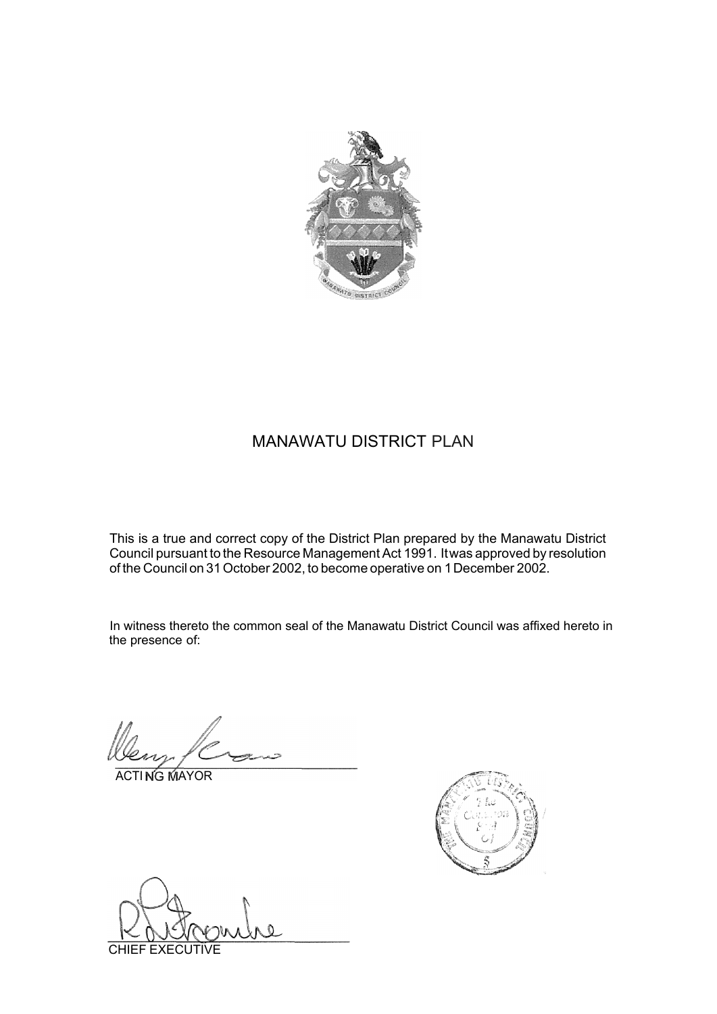

### MANAWATU DISTRICT PLAN

This is a true and correct copy of the District Plan prepared by the Manawatu District Council pursuant to the Resource ManagementAct 1991. Itwas approved by resolution of the Council on 31October 2002, to become operative on 1December 2002.

In witness thereto the common seal of the Manawatu District Council was affixed hereto in the presence of:

**ACTING MAYOR** 



CHIEF EXECUTIVE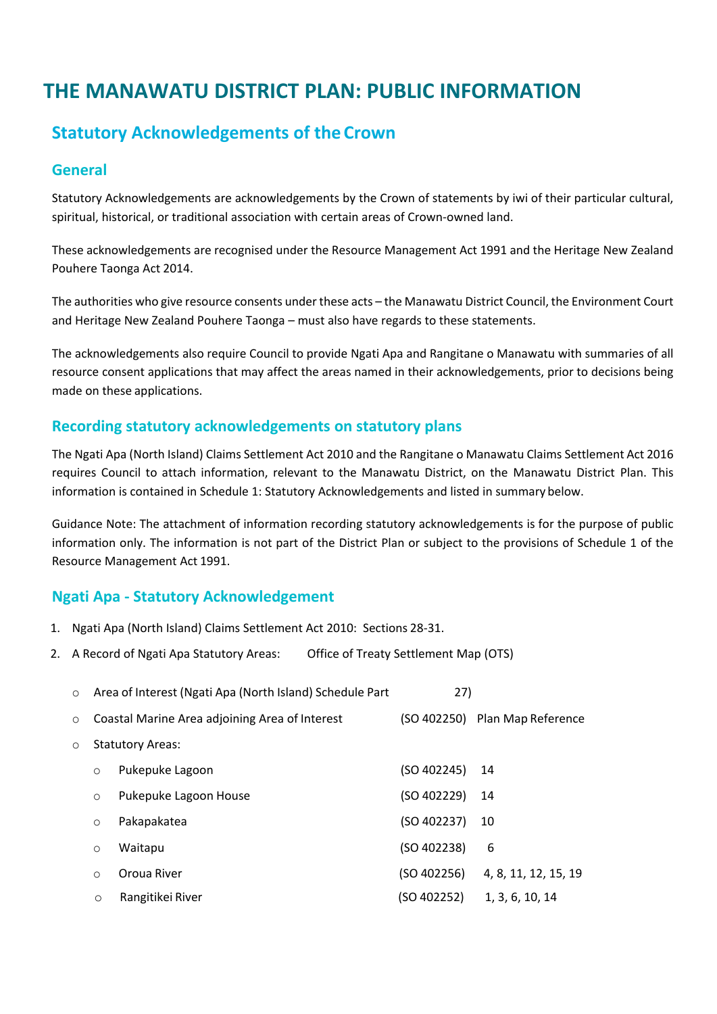# **THE MANAWATU DISTRICT PLAN: PUBLIC INFORMATION**

## **Statutory Acknowledgements of the Crown**

#### **General**

Statutory Acknowledgements are acknowledgements by the Crown of statements by iwi of their particular cultural, spiritual, historical, or traditional association with certain areas of Crown-owned land.

These acknowledgements are recognised under the Resource Management Act 1991 and the Heritage New Zealand Pouhere Taonga Act 2014.

The authorities who give resource consents under these acts – the Manawatu District Council, the Environment Court and Heritage New Zealand Pouhere Taonga – must also have regards to these statements.

The acknowledgements also require Council to provide Ngati Apa and Rangitane o Manawatu with summaries of all resource consent applications that may affect the areas named in their acknowledgements, prior to decisions being made on these applications.

#### **Recording statutory acknowledgements on statutory plans**

The Ngati Apa (North Island) Claims Settlement Act 2010 and the Rangitane o Manawatu Claims Settlement Act 2016 requires Council to attach information, relevant to the Manawatu District, on the Manawatu District Plan. This information is contained in Schedule 1: Statutory Acknowledgements and listed in summary below.

Guidance Note: The attachment of information recording statutory acknowledgements is for the purpose of public information only. The information is not part of the District Plan or subject to the provisions of Schedule 1 of the Resource Management Act 1991.

#### **Ngati Apa - Statutory Acknowledgement**

- 1. Ngati Apa (North Island) Claims Settlement Act 2010: Sections 28-31.
- 2. A Record of Ngati Apa Statutory Areas: Office of Treaty Settlement Map (OTS)

| $\circ$ |                         | Area of Interest (Ngati Apa (North Island) Schedule Part | 27)         |                                |
|---------|-------------------------|----------------------------------------------------------|-------------|--------------------------------|
| $\circ$ |                         | Coastal Marine Area adjoining Area of Interest           |             | (SO 402250) Plan Map Reference |
| O       | <b>Statutory Areas:</b> |                                                          |             |                                |
|         | $\circ$                 | Pukepuke Lagoon                                          | (SO 402245) | -14                            |
|         | $\circ$                 | Pukepuke Lagoon House                                    | (SO 402229) | -14                            |
|         | $\circ$                 | Pakapakatea                                              | (SO 402237) | 10                             |
|         | $\circ$                 | Waitapu                                                  | (SO 402238) | 6                              |
|         | $\Omega$                | Oroua River                                              | (SO 402256) | 4, 8, 11, 12, 15, 19           |
|         | $\circ$                 | Rangitikei River                                         | (SO 402252) | 1, 3, 6, 10, 14                |